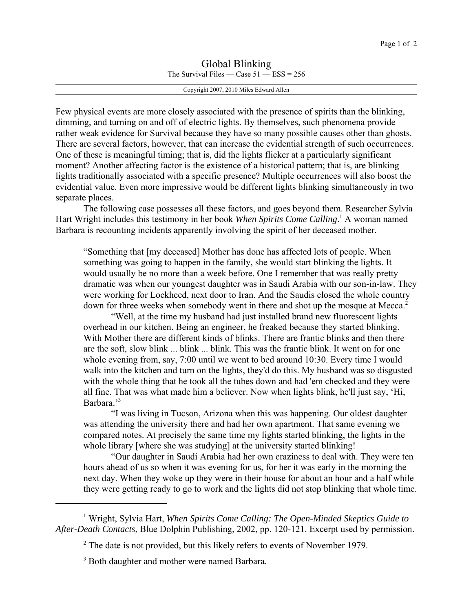## Global Blinking The Survival Files — Case  $51$  — ESS = 256

Copyright 2007, 2010 Miles Edward Allen

Few physical events are more closely associated with the presence of spirits than the blinking, dimming, and turning on and off of electric lights. By themselves, such phenomena provide rather weak evidence for Survival because they have so many possible causes other than ghosts. There are several factors, however, that can increase the evidential strength of such occurrences. One of these is meaningful timing; that is, did the lights flicker at a particularly significant moment? Another affecting factor is the existence of a historical pattern; that is, are blinking lights traditionally associated with a specific presence? Multiple occurrences will also boost the evidential value. Even more impressive would be different lights blinking simultaneously in two separate places.

The following case possesses all these factors, and goes beyond them. Researcher Sylvia Hart Wright includes this testimony in her book *When Spirits Come Calling*.<sup>1</sup> A woman named Barbara is recounting incidents apparently involving the spirit of her deceased mother.

"Something that [my deceased] Mother has done has affected lots of people. When something was going to happen in the family, she would start blinking the lights. It would usually be no more than a week before. One I remember that was really pretty dramatic was when our youngest daughter was in Saudi Arabia with our son-in-law. They were working for Lockheed, next door to Iran. And the Saudis closed the whole country down for three weeks when somebody went in there and shot up the mosque at Mecca.<sup>2</sup>

"Well, at the time my husband had just installed brand new fluorescent lights overhead in our kitchen. Being an engineer, he freaked because they started blinking. With Mother there are different kinds of blinks. There are frantic blinks and then there are the soft, slow blink ... blink ... blink. This was the frantic blink. It went on for one whole evening from, say, 7:00 until we went to bed around 10:30. Every time I would walk into the kitchen and turn on the lights, they'd do this. My husband was so disgusted with the whole thing that he took all the tubes down and had 'em checked and they were all fine. That was what made him a believer. Now when lights blink, he'll just say, 'Hi, Barbara.'<sup>3</sup>

"I was living in Tucson, Arizona when this was happening. Our oldest daughter was attending the university there and had her own apartment. That same evening we compared notes. At precisely the same time my lights started blinking, the lights in the whole library [where she was studying] at the university started blinking!

"Our daughter in Saudi Arabia had her own craziness to deal with. They were ten hours ahead of us so when it was evening for us, for her it was early in the morning the next day. When they woke up they were in their house for about an hour and a half while they were getting ready to go to work and the lights did not stop blinking that whole time.

<sup>&</sup>lt;sup>1</sup> Wright, Sylvia Hart, *When Spirits Come Calling: The Open-Minded Skeptics Guide to After-Death Contacts*, Blue Dolphin Publishing, 2002, pp. 120-121. Excerpt used by permission.

 $2$  The date is not provided, but this likely refers to events of November 1979.

<sup>&</sup>lt;sup>3</sup> Both daughter and mother were named Barbara.